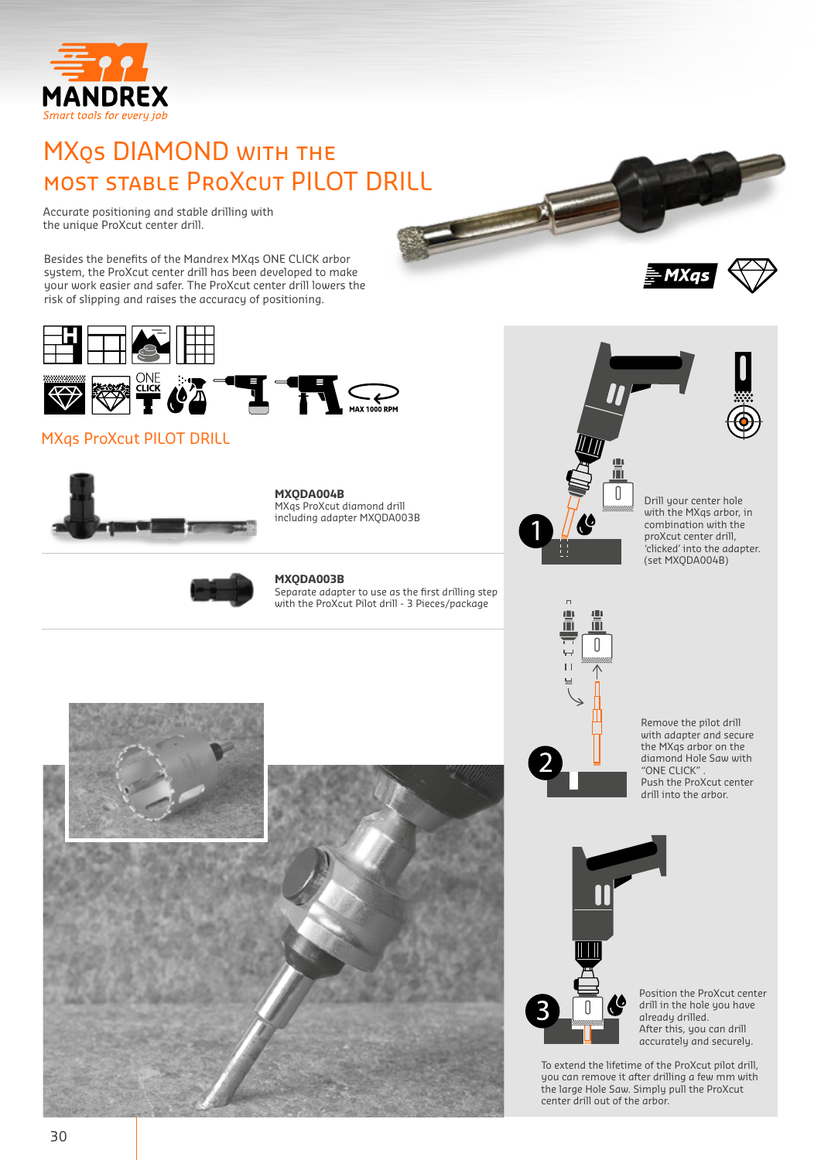

## MXqs DIAMOND with the most stable ProXcut PILOT DRILL

Accurate positioning and stable drilling with the unique ProXcut center drill.

Besides the benefits of the Mandrex MXqs ONE CLICK arbor system, the ProXcut center drill has been developed to make your work easier and safer. The ProXcut center drill lowers the risk of slipping and raises the accuracy of positioning.



### MXqs ProXcut PILOT DRILL



**MXQDA004B**  MXqs ProXcut diamond drill including adapter MXQDA003B



#### **MXQDA003B**

Separate adapter to use as the first drilling step with the ProXcut Pilot drill - 3 Pieces/package



- MXas



Remove the pilot drill with adapter and secure the MXqs arbor on the diamond Hole Saw with "ONE CLICK" . Push the ProXcut center drill into the arbor.



Position the ProXcut center drill in the hole you have already drilled. After this, you can drill accurately and securely.

To extend the lifetime of the ProXcut pilot drill, you can remove it after drilling a few mm with the large Hole Saw. Simply pull the ProXcut center drill out of the arbor.